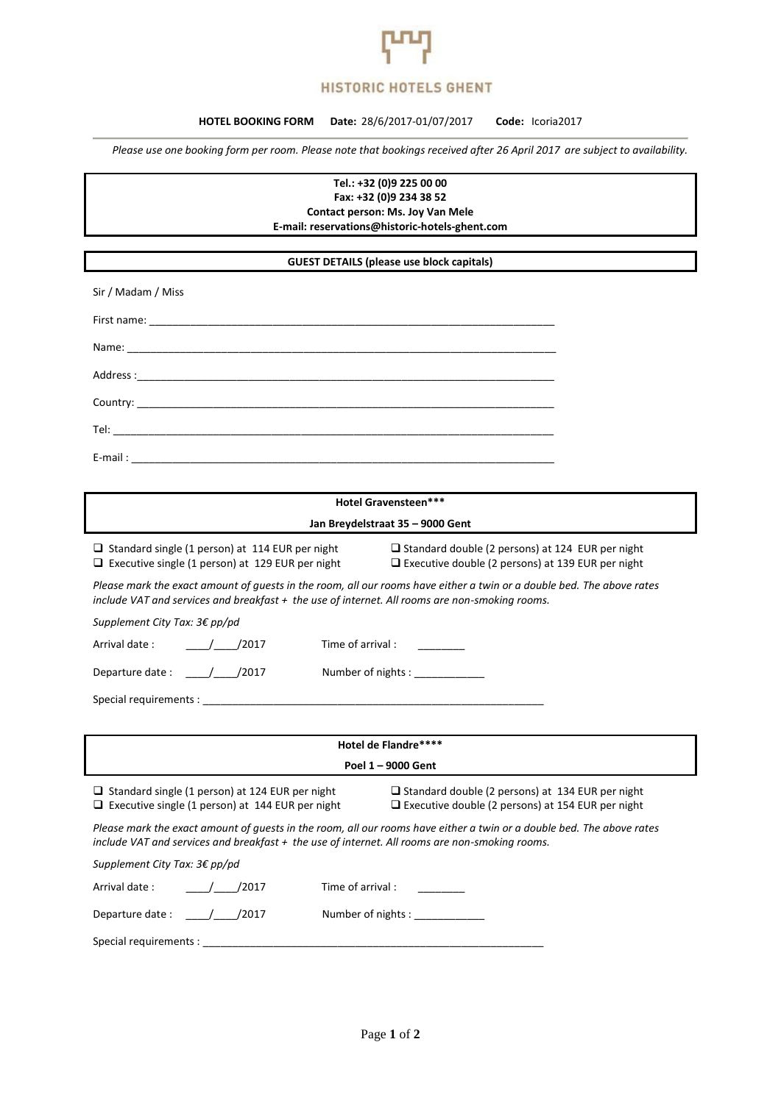

## **HISTORIC HOTELS GHENT**

## **HOTEL BOOKING FORM Date:** 28/6/2017-01/07/2017**Code:** Icoria2017

*Please use one booking form per room. Please note that bookings received after 26 April 2017 are subject to availability.*

**Tel.: +32 (0)9 225 00 00 Fax: +32 (0)9 234 38 52 Contact person: Ms. Joy Van Mele** 

**E-mail: reservations@historic-hotels-ghent.com**

## **GUEST DETAILS (please use block capitals)**

| Sir / Madam / Miss |
|--------------------|
|                    |
|                    |
|                    |
|                    |
|                    |
|                    |

| <b>Hotel Gravensteen***</b>                                                                                                                                                                                             |                                                                                                                     |  |
|-------------------------------------------------------------------------------------------------------------------------------------------------------------------------------------------------------------------------|---------------------------------------------------------------------------------------------------------------------|--|
|                                                                                                                                                                                                                         | Jan Breydelstraat 35 - 9000 Gent                                                                                    |  |
| $\Box$ Standard single (1 person) at 114 EUR per night<br>$\Box$ Executive single (1 person) at 129 EUR per night                                                                                                       | $\Box$ Standard double (2 persons) at 124 EUR per night<br>$\Box$ Executive double (2 persons) at 139 EUR per night |  |
| Please mark the exact amount of guests in the room, all our rooms have either a twin or a double bed. The above rates<br>include VAT and services and breakfast + the use of internet. All rooms are non-smoking rooms. |                                                                                                                     |  |
| Supplement City Tax: 3€ pp/pd                                                                                                                                                                                           |                                                                                                                     |  |
| Arrival date:<br>Time of arrival : ________<br>$/$ /2017                                                                                                                                                                |                                                                                                                     |  |
| Departure date : $\frac{1}{2017}$                                                                                                                                                                                       | Number of nights : ______________                                                                                   |  |
|                                                                                                                                                                                                                         |                                                                                                                     |  |
|                                                                                                                                                                                                                         |                                                                                                                     |  |
| Hotel de Flandre****                                                                                                                                                                                                    |                                                                                                                     |  |
| Poel 1 - 9000 Gent                                                                                                                                                                                                      |                                                                                                                     |  |
| $\Box$ Standard single (1 person) at 124 EUR per night<br>$\Box$ Executive single (1 person) at 144 EUR per night                                                                                                       | $\Box$ Standard double (2 persons) at 134 EUR per night                                                             |  |
|                                                                                                                                                                                                                         | $\Box$ Executive double (2 persons) at 154 EUR per night                                                            |  |
| Please mark the exact amount of guests in the room, all our rooms have either a twin or a double bed. The above rates<br>include VAT and services and breakfast + the use of internet. All rooms are non-smoking rooms. |                                                                                                                     |  |
| Supplement City Tax: 3€ pp/pd                                                                                                                                                                                           |                                                                                                                     |  |
| Arrival date:<br>/2017                                                                                                                                                                                                  | Time of arrival:                                                                                                    |  |
|                                                                                                                                                                                                                         | Number of nights : _____________                                                                                    |  |